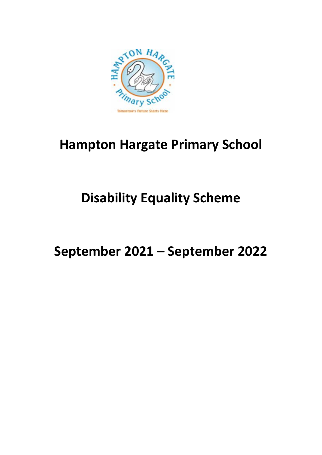

# Hampton Hargate Primary School

# Disability Equality Scheme

# September 2021 – September 2022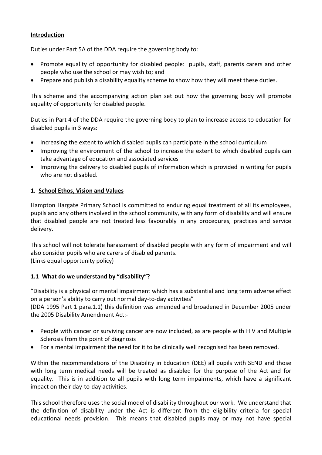#### Introduction

Duties under Part 5A of the DDA require the governing body to:

- Promote equality of opportunity for disabled people: pupils, staff, parents carers and other people who use the school or may wish to; and
- Prepare and publish a disability equality scheme to show how they will meet these duties.

This scheme and the accompanying action plan set out how the governing body will promote equality of opportunity for disabled people.

Duties in Part 4 of the DDA require the governing body to plan to increase access to education for disabled pupils in 3 ways:

- Increasing the extent to which disabled pupils can participate in the school curriculum
- Improving the environment of the school to increase the extent to which disabled pupils can take advantage of education and associated services
- Improving the delivery to disabled pupils of information which is provided in writing for pupils who are not disabled.

#### 1. School Ethos, Vision and Values

Hampton Hargate Primary School is committed to enduring equal treatment of all its employees, pupils and any others involved in the school community, with any form of disability and will ensure that disabled people are not treated less favourably in any procedures, practices and service delivery.

This school will not tolerate harassment of disabled people with any form of impairment and will also consider pupils who are carers of disabled parents. (Links equal opportunity policy)

#### 1.1 What do we understand by "disability"?

"Disability is a physical or mental impairment which has a substantial and long term adverse effect on a person's ability to carry out normal day-to-day activities" (DDA 1995 Part 1 para.1.1) this definition was amended and broadened in December 2005 under the 2005 Disability Amendment Act:-

- People with cancer or surviving cancer are now included, as are people with HIV and Multiple Sclerosis from the point of diagnosis
- For a mental impairment the need for it to be clinically well recognised has been removed.

Within the recommendations of the Disability in Education (DEE) all pupils with SEND and those with long term medical needs will be treated as disabled for the purpose of the Act and for equality. This is in addition to all pupils with long term impairments, which have a significant impact on their day-to-day activities.

This school therefore uses the social model of disability throughout our work. We understand that the definition of disability under the Act is different from the eligibility criteria for special educational needs provision. This means that disabled pupils may or may not have special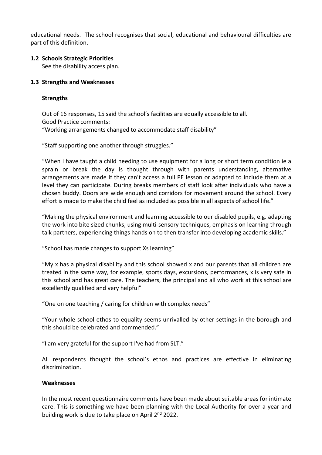educational needs. The school recognises that social, educational and behavioural difficulties are part of this definition.

#### 1.2 Schools Strategic Priorities

See the disability access plan.

#### 1.3 Strengths and Weaknesses

#### **Strengths**

Out of 16 responses, 15 said the school's facilities are equally accessible to all. Good Practice comments: "Working arrangements changed to accommodate staff disability"

"Staff supporting one another through struggles."

"When I have taught a child needing to use equipment for a long or short term condition ie a sprain or break the day is thought through with parents understanding, alternative arrangements are made if they can't access a full PE lesson or adapted to include them at a level they can participate. During breaks members of staff look after individuals who have a chosen buddy. Doors are wide enough and corridors for movement around the school. Every effort is made to make the child feel as included as possible in all aspects of school life."

"Making the physical environment and learning accessible to our disabled pupils, e.g. adapting the work into bite sized chunks, using multi-sensory techniques, emphasis on learning through talk partners, experiencing things hands on to then transfer into developing academic skills."

"School has made changes to support Xs learning"

"My x has a physical disability and this school showed x and our parents that all children are treated in the same way, for example, sports days, excursions, performances, x is very safe in this school and has great care. The teachers, the principal and all who work at this school are excellently qualified and very helpful"

"One on one teaching / caring for children with complex needs"

"Your whole school ethos to equality seems unrivalled by other settings in the borough and this should be celebrated and commended."

"I am very grateful for the support I've had from SLT."

All respondents thought the school's ethos and practices are effective in eliminating discrimination.

#### Weaknesses

In the most recent questionnaire comments have been made about suitable areas for intimate care. This is something we have been planning with the Local Authority for over a year and building work is due to take place on April 2<sup>nd</sup> 2022.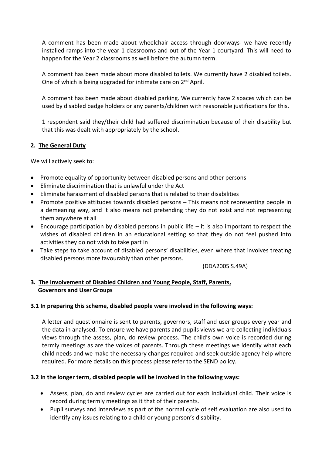A comment has been made about wheelchair access through doorways- we have recently installed ramps into the year 1 classrooms and out of the Year 1 courtyard. This will need to happen for the Year 2 classrooms as well before the autumn term.

A comment has been made about more disabled toilets. We currently have 2 disabled toilets. One of which is being upgraded for intimate care on 2<sup>nd</sup> April.

A comment has been made about disabled parking. We currently have 2 spaces which can be used by disabled badge holders or any parents/children with reasonable justifications for this.

1 respondent said they/their child had suffered discrimination because of their disability but that this was dealt with appropriately by the school.

# 2. The General Duty

We will actively seek to:

- Promote equality of opportunity between disabled persons and other persons
- Eliminate discrimination that is unlawful under the Act
- Eliminate harassment of disabled persons that is related to their disabilities
- Promote positive attitudes towards disabled persons This means not representing people in a demeaning way, and it also means not pretending they do not exist and not representing them anywhere at all
- Encourage participation by disabled persons in public life it is also important to respect the wishes of disabled children in an educational setting so that they do not feel pushed into activities they do not wish to take part in
- Take steps to take account of disabled persons' disabilities, even where that involves treating disabled persons more favourably than other persons.

(DDA2005 S.49A)

# 3. The Involvement of Disabled Children and Young People, Staff, Parents, Governors and User Groups

# 3.1 In preparing this scheme, disabled people were involved in the following ways:

A letter and questionnaire is sent to parents, governors, staff and user groups every year and the data in analysed. To ensure we have parents and pupils views we are collecting individuals views through the assess, plan, do review process. The child's own voice is recorded during termly meetings as are the voices of parents. Through these meetings we identify what each child needs and we make the necessary changes required and seek outside agency help where required. For more details on this process please refer to the SEND policy.

# 3.2 In the longer term, disabled people will be involved in the following ways:

- Assess, plan, do and review cycles are carried out for each individual child. Their voice is record during termly meetings as it that of their parents.
- Pupil surveys and interviews as part of the normal cycle of self evaluation are also used to identify any issues relating to a child or young person's disability.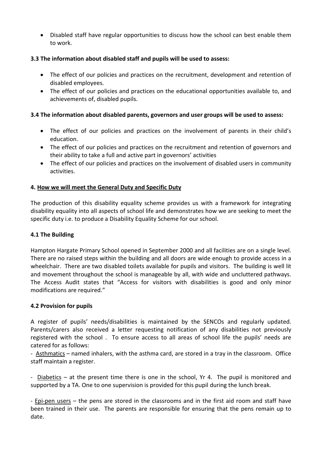Disabled staff have regular opportunities to discuss how the school can best enable them to work.

# 3.3 The information about disabled staff and pupils will be used to assess:

- The effect of our policies and practices on the recruitment, development and retention of disabled employees.
- The effect of our policies and practices on the educational opportunities available to, and achievements of, disabled pupils.

# 3.4 The information about disabled parents, governors and user groups will be used to assess:

- The effect of our policies and practices on the involvement of parents in their child's education.
- The effect of our policies and practices on the recruitment and retention of governors and their ability to take a full and active part in governors' activities
- The effect of our policies and practices on the involvement of disabled users in community activities.

# 4. How we will meet the General Duty and Specific Duty

The production of this disability equality scheme provides us with a framework for integrating disability equality into all aspects of school life and demonstrates how we are seeking to meet the specific duty i.e. to produce a Disability Equality Scheme for our school.

# 4.1 The Building

Hampton Hargate Primary School opened in September 2000 and all facilities are on a single level. There are no raised steps within the building and all doors are wide enough to provide access in a wheelchair. There are two disabled toilets available for pupils and visitors. The building is well lit and movement throughout the school is manageable by all, with wide and uncluttered pathways. The Access Audit states that "Access for visitors with disabilities is good and only minor modifications are required."

# 4.2 Provision for pupils

A register of pupils' needs/disabilities is maintained by the SENCOs and regularly updated. Parents/carers also received a letter requesting notification of any disabilities not previously registered with the school . To ensure access to all areas of school life the pupils' needs are catered for as follows:

- Asthmatics – named inhalers, with the asthma card, are stored in a tray in the classroom. Office staff maintain a register.

- Diabetics – at the present time there is one in the school, Yr 4. The pupil is monitored and supported by a TA. One to one supervision is provided for this pupil during the lunch break.

- Epi-pen users – the pens are stored in the classrooms and in the first aid room and staff have been trained in their use. The parents are responsible for ensuring that the pens remain up to date.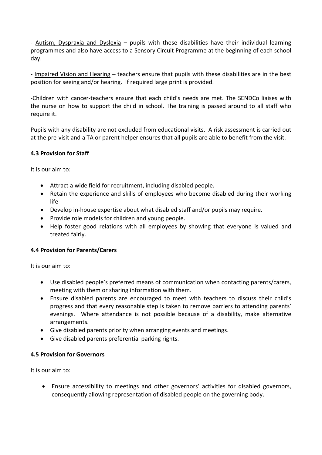- Autism, Dyspraxia and Dyslexia – pupils with these disabilities have their individual learning programmes and also have access to a Sensory Circuit Programme at the beginning of each school day.

- Impaired Vision and Hearing – teachers ensure that pupils with these disabilities are in the best position for seeing and/or hearing. If required large print is provided.

-Children with cancer-teachers ensure that each child's needs are met. The SENDCo liaises with the nurse on how to support the child in school. The training is passed around to all staff who require it.

Pupils with any disability are not excluded from educational visits. A risk assessment is carried out at the pre-visit and a TA or parent helper ensures that all pupils are able to benefit from the visit.

#### 4.3 Provision for Staff

It is our aim to:

- Attract a wide field for recruitment, including disabled people.
- Retain the experience and skills of employees who become disabled during their working life
- Develop in-house expertise about what disabled staff and/or pupils may require.
- Provide role models for children and young people.
- Help foster good relations with all employees by showing that everyone is valued and treated fairly.

#### 4.4 Provision for Parents/Carers

It is our aim to:

- Use disabled people's preferred means of communication when contacting parents/carers, meeting with them or sharing information with them.
- Ensure disabled parents are encouraged to meet with teachers to discuss their child's progress and that every reasonable step is taken to remove barriers to attending parents' evenings. Where attendance is not possible because of a disability, make alternative arrangements.
- Give disabled parents priority when arranging events and meetings.
- Give disabled parents preferential parking rights.

### 4.5 Provision for Governors

It is our aim to:

 Ensure accessibility to meetings and other governors' activities for disabled governors, consequently allowing representation of disabled people on the governing body.